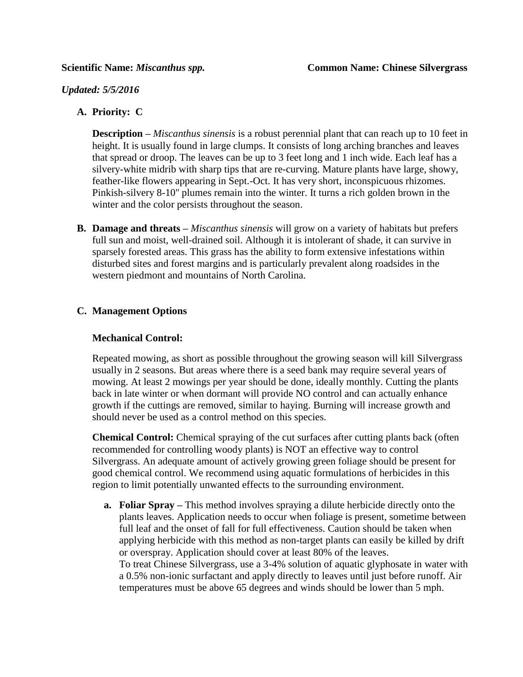### *Updated: 5/5/2016*

# **A. Priority: C**

**Description –** *Miscanthus sinensis* is a robust perennial plant that can reach up to 10 feet in height. It is usually found in large clumps. It consists of long arching branches and leaves that spread or droop. The leaves can be up to 3 feet long and 1 inch wide. Each leaf has a silvery-white midrib with sharp tips that are re-curving. Mature plants have large, showy, feather-like flowers appearing in Sept.-Oct. It has very short, inconspicuous rhizomes. Pinkish-silvery 8-10'' plumes remain into the winter. It turns a rich golden brown in the winter and the color persists throughout the season.

**B. Damage and threats –** *Miscanthus sinensis* will grow on a variety of habitats but prefers full sun and moist, well-drained soil. Although it is intolerant of shade, it can survive in sparsely forested areas. This grass has the ability to form extensive infestations within disturbed sites and forest margins and is particularly prevalent along roadsides in the western piedmont and mountains of North Carolina.

## **C. Management Options**

#### **Mechanical Control:**

Repeated mowing, as short as possible throughout the growing season will kill Silvergrass usually in 2 seasons. But areas where there is a seed bank may require several years of mowing. At least 2 mowings per year should be done, ideally monthly. Cutting the plants back in late winter or when dormant will provide NO control and can actually enhance growth if the cuttings are removed, similar to haying. Burning will increase growth and should never be used as a control method on this species.

**Chemical Control:** Chemical spraying of the cut surfaces after cutting plants back (often recommended for controlling woody plants) is NOT an effective way to control Silvergrass. An adequate amount of actively growing green foliage should be present for good chemical control. We recommend using aquatic formulations of herbicides in this region to limit potentially unwanted effects to the surrounding environment.

**a. Foliar Spray –** This method involves spraying a dilute herbicide directly onto the plants leaves. Application needs to occur when foliage is present, sometime between full leaf and the onset of fall for full effectiveness. Caution should be taken when applying herbicide with this method as non-target plants can easily be killed by drift or overspray. Application should cover at least 80% of the leaves. To treat Chinese Silvergrass, use a 3-4% solution of aquatic glyphosate in water with a 0.5% non-ionic surfactant and apply directly to leaves until just before runoff. Air temperatures must be above 65 degrees and winds should be lower than 5 mph.